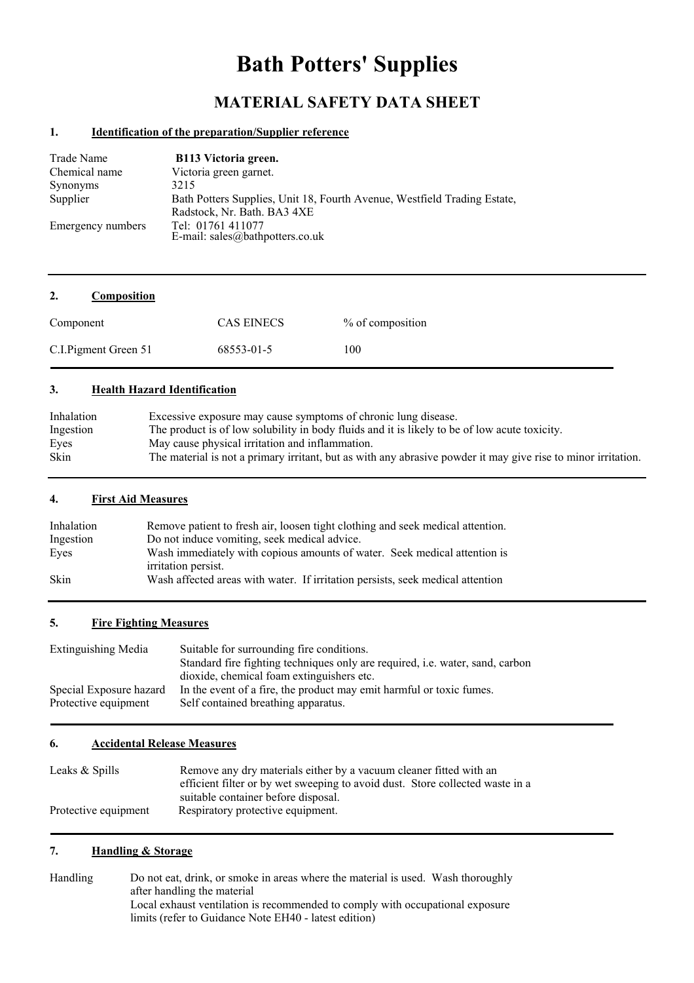# **Bath Potters' Supplies**

# **MATERIAL SAFETY DATA SHEET**

#### **1. Identification of the preparation/Supplier reference**

| Trade Name        | B113 Victoria green.                                                     |
|-------------------|--------------------------------------------------------------------------|
| Chemical name     | Victoria green garnet.                                                   |
| <b>Synonyms</b>   | 3215                                                                     |
| Supplier          | Bath Potters Supplies, Unit 18, Fourth Avenue, Westfield Trading Estate, |
|                   | Radstock, Nr. Bath. BA3 4XE                                              |
| Emergency numbers | Tel: 01761 411077                                                        |
|                   | E-mail: sales@bathpotters.co.uk                                          |

| 2.<br><b>Composition</b> |                   |                  |
|--------------------------|-------------------|------------------|
| Component                | <b>CAS EINECS</b> | % of composition |
| C.I. Pigment Green 51    | 68553-01-5        | 100              |

#### **3. Health Hazard Identification**

| Inhalation | Excessive exposure may cause symptoms of chronic lung disease.                                                |
|------------|---------------------------------------------------------------------------------------------------------------|
| Ingestion  | The product is of low solubility in body fluids and it is likely to be of low acute toxicity.                 |
| Eyes       | May cause physical irritation and inflammation.                                                               |
| Skin       | The material is not a primary irritant, but as with any abrasive powder it may give rise to minor irritation. |

#### **4. First Aid Measures**

| Inhalation | Remove patient to fresh air, loosen tight clothing and seek medical attention. |
|------------|--------------------------------------------------------------------------------|
| Ingestion  | Do not induce vomiting, seek medical advice.                                   |
| Eyes       | Wash immediately with copious amounts of water. Seek medical attention is      |
|            | irritation persist.                                                            |
| Skin       | Wash affected areas with water. If irritation persists, seek medical attention |

#### **5. Fire Fighting Measures**

| Extinguishing Media     | Suitable for surrounding fire conditions.                                            |
|-------------------------|--------------------------------------------------------------------------------------|
|                         | Standard fire fighting techniques only are required, <i>i.e.</i> water, sand, carbon |
|                         | dioxide, chemical foam extinguishers etc.                                            |
| Special Exposure hazard | In the event of a fire, the product may emit harmful or toxic fumes.                 |
| Protective equipment    | Self contained breathing apparatus.                                                  |

#### **6. Accidental Release Measures**

| Leaks & Spills       | Remove any dry materials either by a vacuum cleaner fitted with an            |  |
|----------------------|-------------------------------------------------------------------------------|--|
|                      | efficient filter or by wet sweeping to avoid dust. Store collected waste in a |  |
|                      | suitable container before disposal.                                           |  |
| Protective equipment | Respiratory protective equipment.                                             |  |

# **7. Handling & Storage**

Handling Do not eat, drink, or smoke in areas where the material is used. Wash thoroughly after handling the material Local exhaust ventilation is recommended to comply with occupational exposure limits (refer to Guidance Note EH40 - latest edition)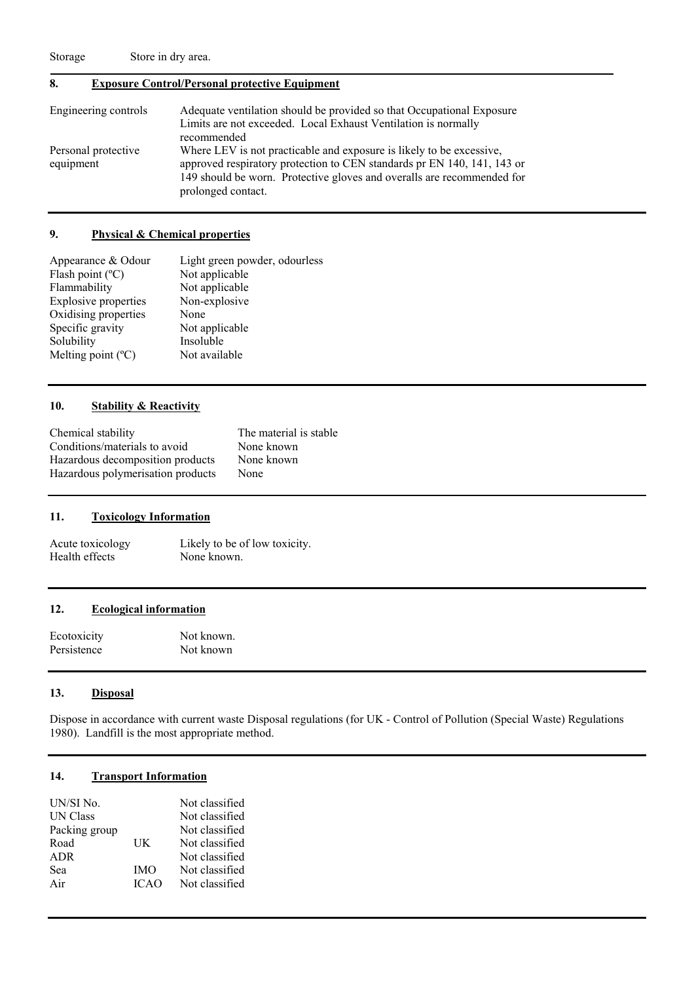Storage Store in dry area.

# **8. Exposure Control/Personal protective Equipment**

| Engineering controls             | Adequate ventilation should be provided so that Occupational Exposure<br>Limits are not exceeded. Local Exhaust Ventilation is normally<br>recommended                                                                                          |
|----------------------------------|-------------------------------------------------------------------------------------------------------------------------------------------------------------------------------------------------------------------------------------------------|
| Personal protective<br>equipment | Where LEV is not practicable and exposure is likely to be excessive,<br>approved respiratory protection to CEN standards pr EN 140, 141, 143 or<br>149 should be worn. Protective gloves and overalls are recommended for<br>prolonged contact. |

#### **9. Physical & Chemical properties**

| Appearance & Odour          | Light green powder, odourless |
|-----------------------------|-------------------------------|
| Flash point $(^{\circ}C)$   | Not applicable                |
| Flammability                | Not applicable                |
| <b>Explosive properties</b> | Non-explosive                 |
| Oxidising properties        | None                          |
| Specific gravity            | Not applicable                |
| Solubility                  | Insoluble                     |
| Melting point $(C)$         | Not available                 |

#### **10. Stability & Reactivity**

| Chemical stability                | The material is stable |
|-----------------------------------|------------------------|
| Conditions/materials to avoid     | None known             |
| Hazardous decomposition products  | None known             |
| Hazardous polymerisation products | None                   |

#### **11. Toxicology Information**

Acute toxicology Likely to be of low toxicity.<br>
Health effects None known. Health effects

### **12. Ecological information**

Ecotoxicity Not known. Persistence Not known

#### **13. Disposal**

Dispose in accordance with current waste Disposal regulations (for UK - Control of Pollution (Special Waste) Regulations 1980). Landfill is the most appropriate method.

## **14. Transport Information**

| UN/SI No.       |             | Not classified |
|-----------------|-------------|----------------|
| <b>UN Class</b> |             | Not classified |
| Packing group   |             | Not classified |
| Road            | UK          | Not classified |
| <b>ADR</b>      |             | Not classified |
| Sea             | <b>IMO</b>  | Not classified |
| Air             | <b>ICAO</b> | Not classified |
|                 |             |                |